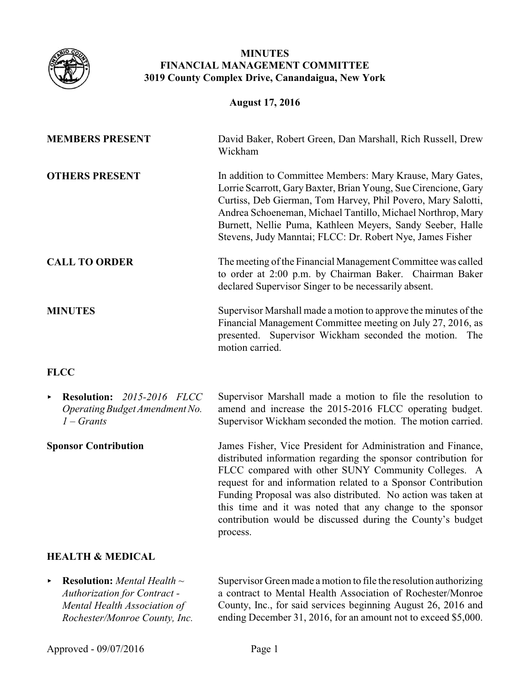

## **MINUTES FINANCIAL MANAGEMENT COMMITTEE 3019 County Complex Drive, Canandaigua, New York**

### **August 17, 2016**

| <b>MEMBERS PRESENT</b>                                                                                       | David Baker, Robert Green, Dan Marshall, Rich Russell, Drew<br>Wickham                                                                                                                                                                                                                                                                                                                  |
|--------------------------------------------------------------------------------------------------------------|-----------------------------------------------------------------------------------------------------------------------------------------------------------------------------------------------------------------------------------------------------------------------------------------------------------------------------------------------------------------------------------------|
| <b>OTHERS PRESENT</b>                                                                                        | In addition to Committee Members: Mary Krause, Mary Gates,<br>Lorrie Scarrott, Gary Baxter, Brian Young, Sue Cirencione, Gary<br>Curtiss, Deb Gierman, Tom Harvey, Phil Povero, Mary Salotti,<br>Andrea Schoeneman, Michael Tantillo, Michael Northrop, Mary<br>Burnett, Nellie Puma, Kathleen Meyers, Sandy Seeber, Halle<br>Stevens, Judy Manntai; FLCC: Dr. Robert Nye, James Fisher |
| <b>CALL TO ORDER</b>                                                                                         | The meeting of the Financial Management Committee was called<br>to order at 2:00 p.m. by Chairman Baker. Chairman Baker<br>declared Supervisor Singer to be necessarily absent.                                                                                                                                                                                                         |
| <b>MINUTES</b>                                                                                               | Supervisor Marshall made a motion to approve the minutes of the<br>Financial Management Committee meeting on July 27, 2016, as<br>presented. Supervisor Wickham seconded the motion. The<br>motion carried.                                                                                                                                                                             |
| <b>FLCC</b>                                                                                                  |                                                                                                                                                                                                                                                                                                                                                                                         |
| <b>Resolution:</b> 2015-2016 FLCC<br>$\blacktriangleright$<br>Operating Budget Amendment No.<br>$1 -$ Grants | Supervisor Marshall made a motion to file the resolution to<br>amend and increase the 2015-2016 FLCC operating budget.<br>Supervisor Wickham seconded the motion. The motion carried.                                                                                                                                                                                                   |

**Sponsor Contribution** James Fisher, Vice President for Administration and Finance, distributed information regarding the sponsor contribution for FLCC compared with other SUNY Community Colleges. A request for and information related to a Sponsor Contribution Funding Proposal was also distributed. No action was taken at this time and it was noted that any change to the sponsor contribution would be discussed during the County's budget process.

## **HEALTH & MEDICAL**

< **Resolution:** *Mental Health ~ Authorization for Contract - Mental Health Association of Rochester/Monroe County, Inc.*

Supervisor Green made a motion to file the resolution authorizing a contract to Mental Health Association of Rochester/Monroe County, Inc., for said services beginning August 26, 2016 and ending December 31, 2016, for an amount not to exceed \$5,000.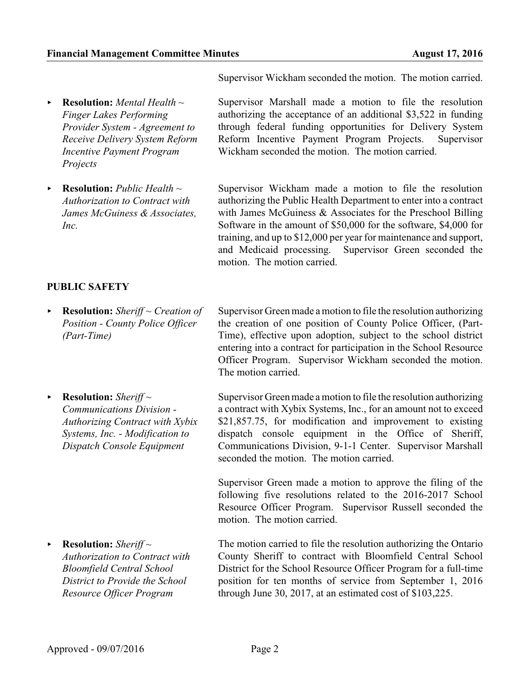Supervisor Wickham seconded the motion. The motion carried.

Supervisor Marshall made a motion to file the resolution authorizing the acceptance of an additional \$3,522 in funding through federal funding opportunities for Delivery System Reform Incentive Payment Program Projects. Supervisor

Supervisor Wickham made a motion to file the resolution authorizing the Public Health Department to enter into a contract with James McGuiness & Associates for the Preschool Billing Software in the amount of \$50,000 for the software, \$4,000 for training, and up to \$12,000 per year for maintenance and support, and Medicaid processing. Supervisor Green seconded the

Supervisor Green made a motion to file the resolution authorizing the creation of one position of County Police Officer, (Part-

Wickham seconded the motion. The motion carried.

- < **Resolution:** *Mental Health ~ Finger Lakes Performing Provider System - Agreement to Receive Delivery System Reform Incentive Payment Program Projects*
- < **Resolution:** *Public Health ~ Authorization to Contract with James McGuiness & Associates, Inc.*

# **PUBLIC SAFETY**

- < **Resolution:** *Sheriff ~ Creation of Position - County Police Officer (Part-Time)*
	- Time), effective upon adoption, subject to the school district entering into a contract for participation in the School Resource Officer Program. Supervisor Wickham seconded the motion. The motion carried. Supervisor Green made a motion to file the resolution authorizing

motion. The motion carried.

▶ **Resolution:** *Sheriff* ~ *Communications Division - Authorizing Contract with Xybix Systems, Inc. - Modification to Dispatch Console Equipment*

▶ **Resolution:** Sheriff ~ *Authorization to Contract with Bloomfield Central School District to Provide the School Resource Officer Program* 

a contract with Xybix Systems, Inc., for an amount not to exceed \$21,857.75, for modification and improvement to existing dispatch console equipment in the Office of Sheriff, Communications Division, 9-1-1 Center. Supervisor Marshall seconded the motion. The motion carried.

Supervisor Green made a motion to approve the filing of the following five resolutions related to the 2016-2017 School Resource Officer Program. Supervisor Russell seconded the motion. The motion carried.

The motion carried to file the resolution authorizing the Ontario County Sheriff to contract with Bloomfield Central School District for the School Resource Officer Program for a full-time position for ten months of service from September 1, 2016 through June 30, 2017, at an estimated cost of \$103,225.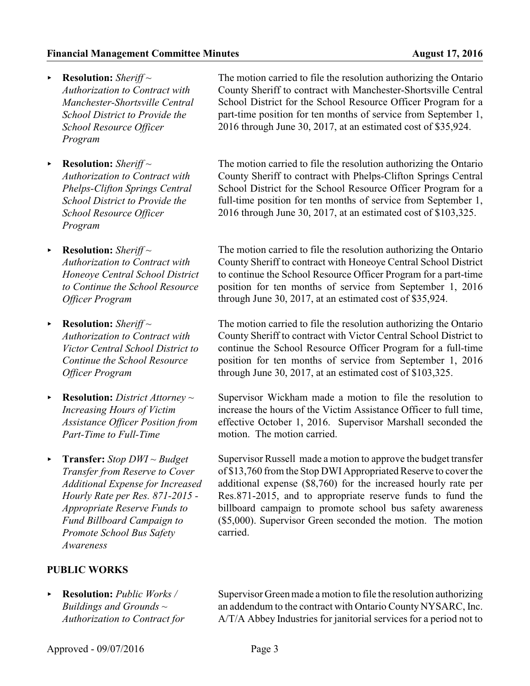- < **Resolution:** *Sheriff ~ Authorization to Contract with Manchester-Shortsville Central School District to Provide the School Resource Officer Program*
- < **Resolution:** *Sheriff ~ Authorization to Contract with Phelps-Clifton Springs Central School District to Provide the School Resource Officer Program*
- < **Resolution:** *Sheriff ~ Authorization to Contract with Honeoye Central School District to Continue the School Resource Officer Program*
- ▶ **Resolution:** *Sheriff* ~ *Authorization to Contract with Victor Central School District to Continue the School Resource Officer Program*
- < **Resolution:** *District Attorney ~ Increasing Hours of Victim Assistance Officer Position from Part-Time to Full-Time*
- < **Transfer:** *Stop DWI ~ Budget Transfer from Reserve to Cover Additional Expense for Increased Hourly Rate per Res. 871-2015 - Appropriate Reserve Funds to Fund Billboard Campaign to Promote School Bus Safety Awareness*

# **PUBLIC WORKS**

< **Resolution:** *Public Works / Buildings and Grounds ~ Authorization to Contract for*

The motion carried to file the resolution authorizing the Ontario County Sheriff to contract with Manchester-Shortsville Central School District for the School Resource Officer Program for a part-time position for ten months of service from September 1, 2016 through June 30, 2017, at an estimated cost of \$35,924.

The motion carried to file the resolution authorizing the Ontario County Sheriff to contract with Phelps-Clifton Springs Central School District for the School Resource Officer Program for a full-time position for ten months of service from September 1, 2016 through June 30, 2017, at an estimated cost of \$103,325.

The motion carried to file the resolution authorizing the Ontario County Sheriff to contract with Honeoye Central School District to continue the School Resource Officer Program for a part-time position for ten months of service from September 1, 2016 through June 30, 2017, at an estimated cost of \$35,924.

The motion carried to file the resolution authorizing the Ontario County Sheriff to contract with Victor Central School District to continue the School Resource Officer Program for a full-time position for ten months of service from September 1, 2016 through June 30, 2017, at an estimated cost of \$103,325.

Supervisor Wickham made a motion to file the resolution to increase the hours of the Victim Assistance Officer to full time, effective October 1, 2016. Supervisor Marshall seconded the motion. The motion carried.

Supervisor Russell made a motion to approve the budget transfer of \$13,760 from the Stop DWI Appropriated Reserve to cover the additional expense (\$8,760) for the increased hourly rate per Res.871-2015, and to appropriate reserve funds to fund the billboard campaign to promote school bus safety awareness (\$5,000). Supervisor Green seconded the motion. The motion carried.

Supervisor Green made a motion to file the resolution authorizing an addendum to the contract with Ontario County NYSARC, Inc. A/T/A Abbey Industries for janitorial services for a period not to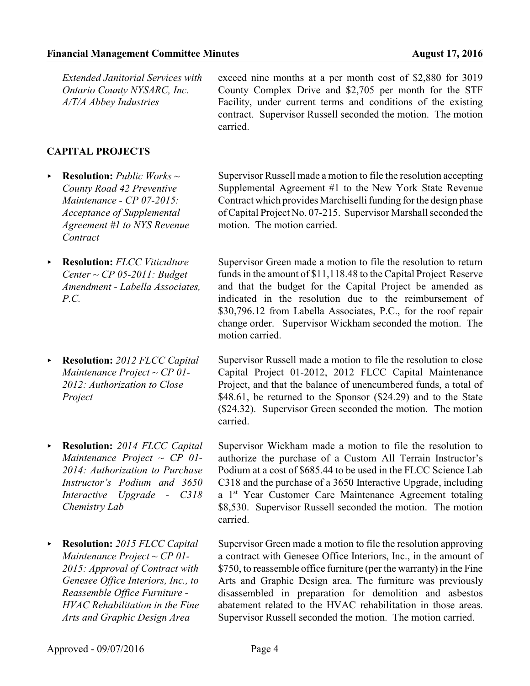*Extended Janitorial Services with Ontario County NYSARC, Inc. A/T/A Abbey Industries* exceed nine months at a per month cost of \$2,880 for 3019 carried.

### **CAPITAL PROJECTS**

- < **Resolution:** *Public Works ~ County Road 42 Preventive Maintenance - CP 07-2015: Acceptance of Supplemental Agreement #1 to NYS Revenue Contract*
- < **Resolution:** *FLCC Viticulture Center ~ CP 05-2011: Budget Amendment - Labella Associates, P.C.*
- < **Resolution:** *2012 FLCC Capital Maintenance Project ~ CP 01- 2012: Authorization to Close Project*
- < **Resolution:** *2014 FLCC Capital Maintenance Project ~ CP 01- 2014: Authorization to Purchase Instructor's Podium and 3650 Interactive Upgrade - C318 Chemistry Lab*
- < **Resolution:** *2015 FLCC Capital Maintenance Project ~ CP 01- 2015: Approval of Contract with Genesee Office Interiors, Inc., to Reassemble Office Furniture - HVAC Rehabilitation in the Fine Arts and Graphic Design Area*

County Complex Drive and \$2,705 per month for the STF Facility, under current terms and conditions of the existing contract. Supervisor Russell seconded the motion. The motion

Supervisor Russell made a motion to file the resolution accepting Supplemental Agreement #1 to the New York State Revenue Contract which provides Marchiselli funding for the design phase of Capital Project No. 07-215. Supervisor Marshall seconded the motion. The motion carried.

Supervisor Green made a motion to file the resolution to return funds in the amount of \$11,118.48 to the Capital Project Reserve and that the budget for the Capital Project be amended as indicated in the resolution due to the reimbursement of \$30,796.12 from Labella Associates, P.C., for the roof repair change order. Supervisor Wickham seconded the motion. The motion carried.

Supervisor Russell made a motion to file the resolution to close Capital Project 01-2012, 2012 FLCC Capital Maintenance Project, and that the balance of unencumbered funds, a total of \$48.61, be returned to the Sponsor (\$24.29) and to the State (\$24.32). Supervisor Green seconded the motion. The motion carried.

Supervisor Wickham made a motion to file the resolution to authorize the purchase of a Custom All Terrain Instructor's Podium at a cost of \$685.44 to be used in the FLCC Science Lab C318 and the purchase of a 3650 Interactive Upgrade, including a 1<sup>st</sup> Year Customer Care Maintenance Agreement totaling \$8,530. Supervisor Russell seconded the motion. The motion carried.

Supervisor Green made a motion to file the resolution approving a contract with Genesee Office Interiors, Inc., in the amount of \$750, to reassemble office furniture (per the warranty) in the Fine Arts and Graphic Design area. The furniture was previously disassembled in preparation for demolition and asbestos abatement related to the HVAC rehabilitation in those areas. Supervisor Russell seconded the motion. The motion carried.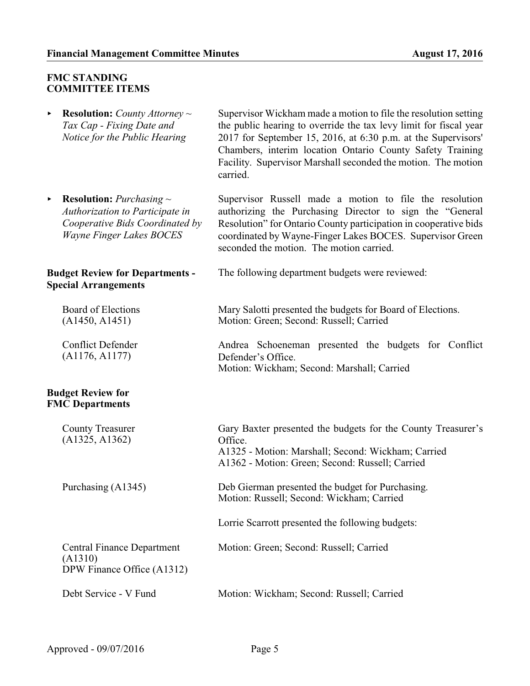### **FMC STANDING COMMITTEE ITEMS**

< **Resolution:** *County Attorney ~ Tax Cap - Fixing Date and Notice for the Public Hearing*

< **Resolution:** *Purchasing ~ Authorization to Participate in Cooperative Bids Coordinated by Wayne Finger Lakes BOCES*

### **Budget Review for Departments - Special Arrangements**

Board of Elections (A1450, A1451)

Conflict Defender (A1176, A1177)

### **Budget Review for FMC Departments**

County Treasurer (A1325, A1362)

Central Finance Department (A1310) DPW Finance Office (A1312)

Supervisor Wickham made a motion to file the resolution setting the public hearing to override the tax levy limit for fiscal year 2017 for September 15, 2016, at 6:30 p.m. at the Supervisors' Chambers, interim location Ontario County Safety Training Facility. Supervisor Marshall seconded the motion. The motion carried.

Supervisor Russell made a motion to file the resolution authorizing the Purchasing Director to sign the "General Resolution" for Ontario County participation in cooperative bids coordinated by Wayne-Finger Lakes BOCES. Supervisor Green seconded the motion. The motion carried.

The following department budgets were reviewed:

Mary Salotti presented the budgets for Board of Elections. Motion: Green; Second: Russell; Carried

Andrea Schoeneman presented the budgets for Conflict Defender's Office. Motion: Wickham; Second: Marshall; Carried

Gary Baxter presented the budgets for the County Treasurer's Office. A1325 - Motion: Marshall; Second: Wickham; Carried A1362 - Motion: Green; Second: Russell; Carried

Purchasing (A1345) Deb Gierman presented the budget for Purchasing. Motion: Russell; Second: Wickham; Carried

Lorrie Scarrott presented the following budgets:

Motion: Green; Second: Russell; Carried

Debt Service - V Fund Motion: Wickham; Second: Russell; Carried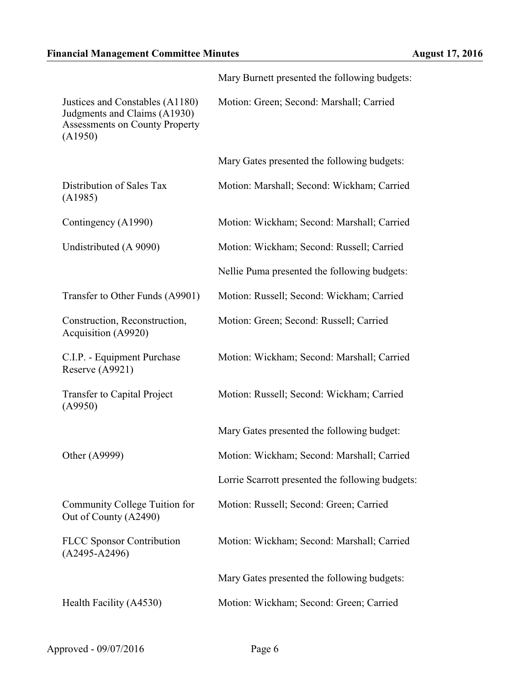|                                                                                                              | Mary Burnett presented the following budgets:    |
|--------------------------------------------------------------------------------------------------------------|--------------------------------------------------|
| Justices and Constables (A1180)<br>Judgments and Claims (A1930)<br>Assessments on County Property<br>(A1950) | Motion: Green; Second: Marshall; Carried         |
|                                                                                                              | Mary Gates presented the following budgets:      |
| Distribution of Sales Tax<br>(A1985)                                                                         | Motion: Marshall; Second: Wickham; Carried       |
| Contingency (A1990)                                                                                          | Motion: Wickham; Second: Marshall; Carried       |
| Undistributed (A 9090)                                                                                       | Motion: Wickham; Second: Russell; Carried        |
|                                                                                                              | Nellie Puma presented the following budgets:     |
| Transfer to Other Funds (A9901)                                                                              | Motion: Russell; Second: Wickham; Carried        |
| Construction, Reconstruction,<br>Acquisition (A9920)                                                         | Motion: Green; Second: Russell; Carried          |
| C.I.P. - Equipment Purchase<br>Reserve (A9921)                                                               | Motion: Wickham; Second: Marshall; Carried       |
| Transfer to Capital Project<br>(A9950)                                                                       | Motion: Russell; Second: Wickham; Carried        |
|                                                                                                              | Mary Gates presented the following budget:       |
| Other (A9999)                                                                                                | Motion: Wickham; Second: Marshall; Carried       |
|                                                                                                              | Lorrie Scarrott presented the following budgets: |
| Community College Tuition for<br>Out of County (A2490)                                                       | Motion: Russell; Second: Green; Carried          |
| <b>FLCC</b> Sponsor Contribution<br>$(A2495-A2496)$                                                          | Motion: Wickham; Second: Marshall; Carried       |
|                                                                                                              | Mary Gates presented the following budgets:      |
| Health Facility (A4530)                                                                                      | Motion: Wickham; Second: Green; Carried          |